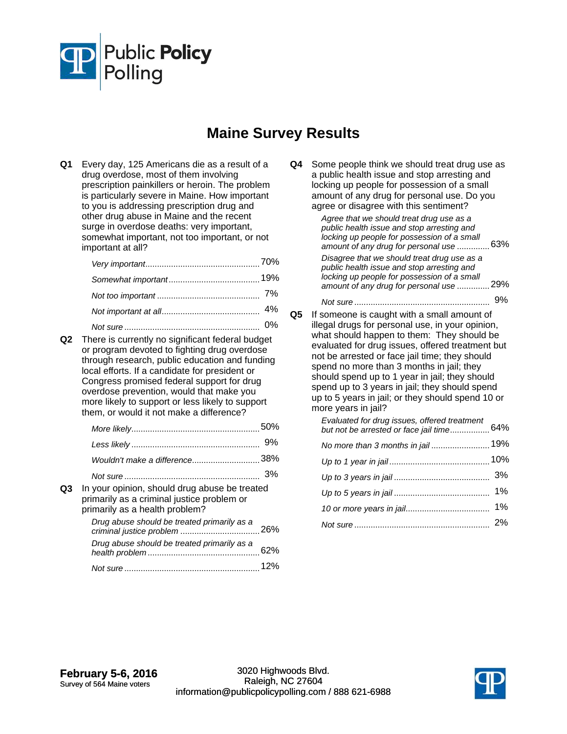

## **Maine Survey Results**

**Q1** Every day, 125 Americans die as a result of a drug overdose, most of them involving prescription painkillers or heroin. The problem is particularly severe in Maine. How important to you is addressing prescription drug and other drug abuse in Maine and the recent surge in overdose deaths: very important, somewhat important, not too important, or not important at all?

**Q2** There is currently no significant federal budget or program devoted to fighting drug overdose through research, public education and funding local efforts. If a candidate for president or Congress promised federal support for drug overdose prevention, would that make you more likely to support or less likely to support them, or would it not make a difference?

|    |                                                                                                                               | 9% |
|----|-------------------------------------------------------------------------------------------------------------------------------|----|
|    | Wouldn't make a difference38%                                                                                                 |    |
|    |                                                                                                                               | 3% |
| Q3 | In your opinion, should drug abuse be treated<br>primarily as a criminal justice problem or<br>primarily as a health problem? |    |
|    | Drug abuse should be treated primarily as a<br>criminal justice problem                                                       |    |

62% *Drug abuse should be treated primarily as a health problem* ................................................

*Not sure* 12% ..........................................................

| Q4 I | Some people think we should treat drug use as |
|------|-----------------------------------------------|
|      | a public health issue and stop arresting and  |
|      | locking up people for possession of a small   |
|      | amount of any drug for personal use. Do you   |
|      | agree or disagree with this sentiment?        |
|      | $A$ aroo that wa abould troot drug upo oo o   |

 63% *amount of any drug for personal use* .............. *Agree that we should treat drug use as a public health issue and stop arresting and locking up people for possession of a small*  29% *amount of any drug for personal use* .............. *Disagree that we should treat drug use as a public health issue and stop arresting and locking up people for possession of a small Not sure* 9% .......................................................... **Q5** If someone is caught with a small amount of illegal drugs for personal use, in your opinion, what should happen to them: They should be evaluated for drug issues, offered treatment but not be arrested or face jail time; they should spend no more than 3 months in jail; they should spend up to 1 year in jail; they should spend up to 3 years in jail; they should spend up to 5 years in jail; or they should spend 10 or more years in jail? 64% *Evaluated for drug issues, offered treatment but not be arrested or face jail time*................. *No more than 3 months in jail .........................*..19% *Up to 1 year in jail* 10% ........................................... *Up to 3 years in jail* 3% ......................................... *Up to 5 years in jail* 1% ......................................... *10 or more years in jail* 1% .................................... *Not sure* 2% ..........................................................

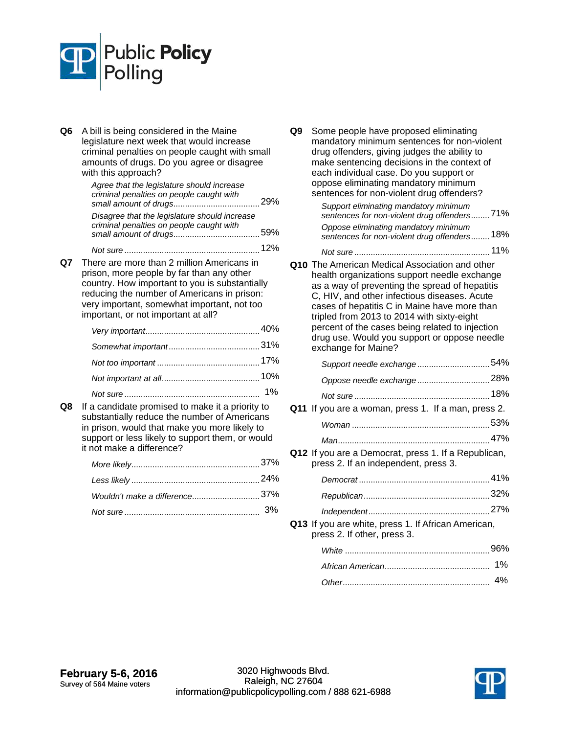

**Q6** A bill is being considered in the Maine legislature next week that would increase criminal penalties on people caught with small amounts of drugs. Do you agree or disagree with this approach?

| Agree that the legislature should increase<br>criminal penalties on people caught with    |  |
|-------------------------------------------------------------------------------------------|--|
| Disagree that the legislature should increase<br>criminal penalties on people caught with |  |

*Not sure* 12% ..........................................................

**Q7** There are more than 2 million Americans in prison, more people by far than any other country. How important to you is substantially reducing the number of Americans in prison: very important, somewhat important, not too important, or not important at all?

**Q8** If a candidate promised to make it a priority to substantially reduce the number of Americans in prison, would that make you more likely to support or less likely to support them, or would it not make a difference?

| Wouldn't make a difference37% |  |
|-------------------------------|--|
|                               |  |

**Q9** Some people have proposed eliminating mandatory minimum sentences for non-violent drug offenders, giving judges the ability to make sentencing decisions in the context of each individual case. Do you support or oppose eliminating mandatory minimum sentences for non-violent drug offenders?

> 71% *Support eliminating mandatory minimum sentences for non-violent drug offenders*........ 18% *Oppose eliminating mandatory minimum sentences for non-violent drug offenders*........

*Not sure* 11% ..........................................................

**Q10** The American Medical Association and other health organizations support needle exchange as a way of preventing the spread of hepatitis C, HIV, and other infectious diseases. Acute cases of hepatitis C in Maine have more than tripled from 2013 to 2014 with sixty-eight percent of the cases being related to injection drug use. Would you support or oppose needle exchange for Maine?

| Support needle exchange54%                                                                   |  |
|----------------------------------------------------------------------------------------------|--|
| Oppose needle exchange28%                                                                    |  |
|                                                                                              |  |
| Q11 If you are a woman, press 1. If a man, press 2.                                          |  |
|                                                                                              |  |
|                                                                                              |  |
| Q12 If you are a Democrat, press 1. If a Republican,<br>press 2. If an independent, press 3. |  |
|                                                                                              |  |
|                                                                                              |  |
|                                                                                              |  |
|                                                                                              |  |

**Q13** If you are white, press 1. If African American, press 2. If other, press 3.

| 4% |
|----|

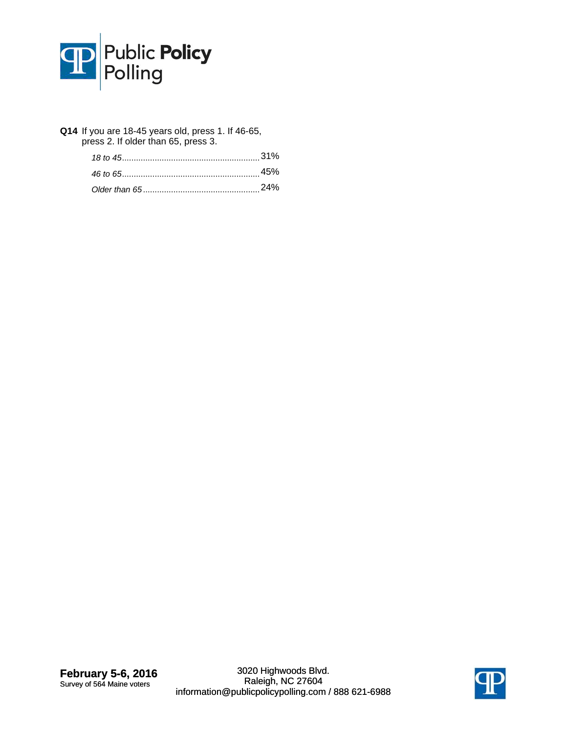

**Q14** If you are 18-45 years old, press 1. If 46-65, press 2. If older than 65, press 3.

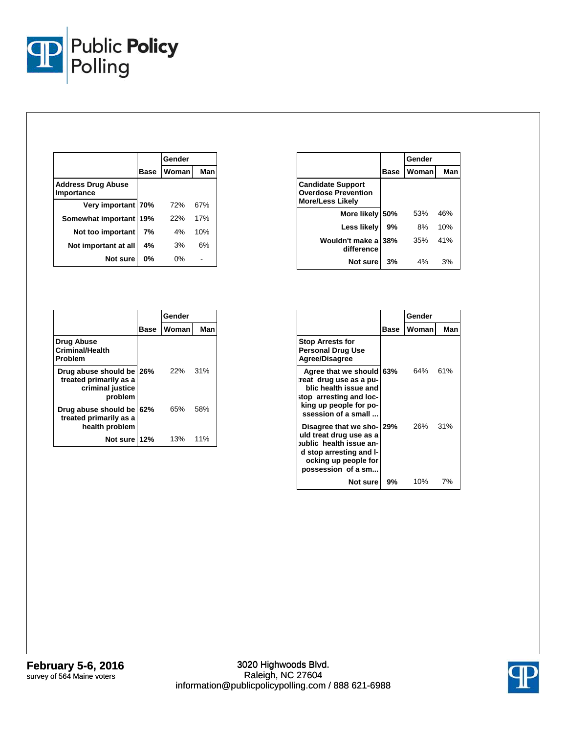

|                                         |      | Gender |     |
|-----------------------------------------|------|--------|-----|
|                                         | Base | Woman  | Man |
| <b>Address Drug Abuse</b><br>Importance |      |        |     |
| Very important 70%                      |      | 72%    | 67% |
| Somewhat important 19%                  |      | 22%    | 17% |
| Not too important                       | 7%   | 4%     | 10% |
| Not important at all                    | 4%   | 3%     | 6%  |
| Not sure                                | 0%   | 0%     |     |

|                                                                                   |             | Gender |     |
|-----------------------------------------------------------------------------------|-------------|--------|-----|
|                                                                                   | <b>Base</b> | Woman  | Man |
| <b>Drug Abuse</b><br><b>Criminal/Health</b><br>Problem                            |             |        |     |
| Drug abuse should be 26%<br>treated primarily as a<br>criminal justice<br>problem |             | 22%    | 31% |
| Drug abuse should be 62%<br>treated primarily as a<br>health problem              |             | 65%    | 58% |
| Not sure 12%                                                                      |             | 13%    | 11% |

|                                                                                   |      | Gender |     |
|-----------------------------------------------------------------------------------|------|--------|-----|
|                                                                                   | Base | Woman  | Man |
| <b>Candidate Support</b><br><b>Overdose Prevention</b><br><b>More/Less Likely</b> |      |        |     |
| More likely 50%                                                                   |      | 53%    | 46% |
| Less likely                                                                       | 9%   | 8%     | 10% |
| Wouldn't make a 38%<br>difference                                                 |      | 35%    | 41% |
| Not sure                                                                          | 3%   | 4%     | 3%  |

|                                                                                                                                                          |      | Gender  |     |
|----------------------------------------------------------------------------------------------------------------------------------------------------------|------|---------|-----|
|                                                                                                                                                          | Base | Womanl  | Man |
| <b>Stop Arrests for</b><br><b>Personal Drug Use</b><br><b>Agree/Disagree</b>                                                                             |      |         |     |
| Agree that we should 63%<br>reat drug use as a pu-<br>blic health issue and<br>stop arresting and loc-<br>king up people for po-<br>ssession of a small  |      | 64% 61% |     |
| Disagree that we sho- 29%<br>uld treat drug use as a<br>oublic health issue an-<br>d stop arresting and I-<br>ocking up people for<br>possession of a sm |      | 26% 31% |     |
| Not sure                                                                                                                                                 | 9%   | 10%     | 7%  |

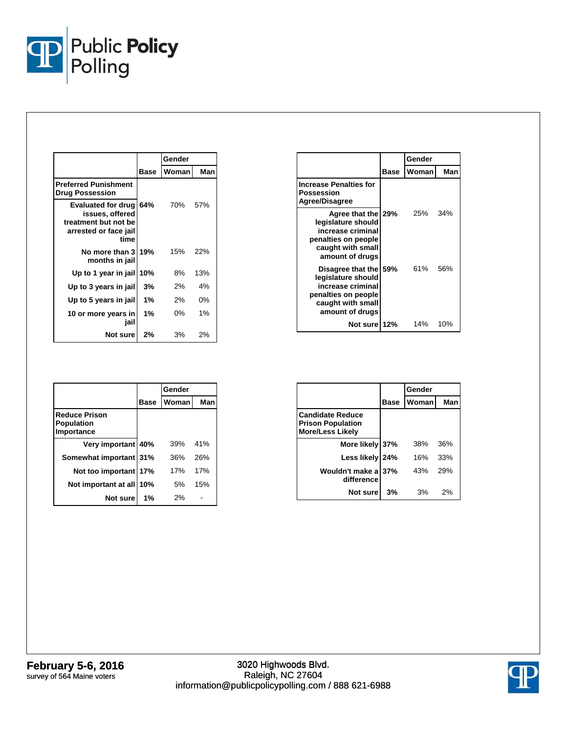

|                                                                                                       |             | Gender |       |
|-------------------------------------------------------------------------------------------------------|-------------|--------|-------|
|                                                                                                       | <b>Base</b> | Woman  | Man   |
| <b>Preferred Punishment</b><br><b>Drug Possession</b>                                                 |             |        |       |
| <b>Evaluated for drug</b><br>issues, offered<br>treatment but not be<br>arrested or face jail<br>time | 64%         | 70%    | 57%   |
| No more than 3<br>months in jail                                                                      | 19%         | 15%    | 22%   |
| Up to 1 year in jail                                                                                  | 10%         | 8%     | 13%   |
| Up to 3 years in jail                                                                                 | 3%          | 2%     | 4%    |
| Up to 5 years in jail                                                                                 | 1%          | 2%     | $0\%$ |
| 10 or more years in<br>jail                                                                           | 1%          | 0%     | 1%    |
| Not sure                                                                                              | 2%          | 3%     | 2%    |

|                                                                                                                                 |      | Gender |     |
|---------------------------------------------------------------------------------------------------------------------------------|------|--------|-----|
|                                                                                                                                 | Base | Woman  | Man |
| <b>Increase Penalties for</b><br>Possession<br>Agree/Disagree                                                                   |      |        |     |
| Agree that the 29%<br>legislature should<br>increase criminal<br>penalties on people<br>caught with small<br>amount of drugs    |      | 25%    | 34% |
| Disagree that the 59%<br>legislature should<br>increase criminal<br>penalties on people<br>caught with small<br>amount of drugs |      | 61%    | 56% |
| Not sure 12%                                                                                                                    |      | 14%    | 10% |

|                                                         |             | Gender |     |
|---------------------------------------------------------|-------------|--------|-----|
|                                                         | <b>Base</b> | Woman  | Man |
| <b>Reduce Prison</b><br><b>Population</b><br>Importance |             |        |     |
| Very important 40%                                      |             | 39%    | 41% |
| Somewhat important 31%                                  |             | 36%    | 26% |
| Not too important 17%                                   |             | 17%    | 17% |
| Not important at all                                    | 10%         | 5%     | 15% |
| Not sure                                                | 1%          | 2%     |     |

|                                                                                |             | Gender |     |
|--------------------------------------------------------------------------------|-------------|--------|-----|
|                                                                                | <b>Base</b> | Woman  | Man |
| <b>Candidate Reduce</b><br><b>Prison Population</b><br><b>More/Less Likely</b> |             |        |     |
| More likely 37%                                                                |             | 38%    | 36% |
| Less likely 24%                                                                |             | 16%    | 33% |
| Wouldn't make a<br>difference                                                  | 37%         | 43%    | 29% |
| Not sure                                                                       | 3%          | 3%     | 2%  |

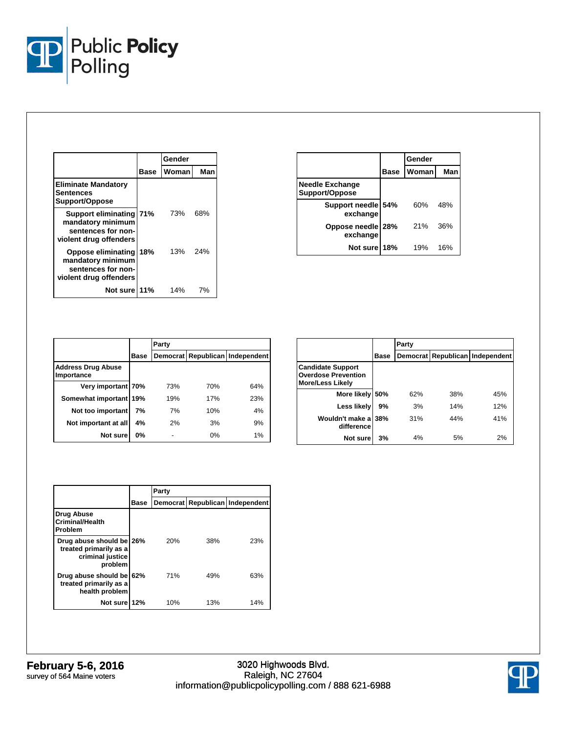

|                                                                                                     |             | Gender |     |  |
|-----------------------------------------------------------------------------------------------------|-------------|--------|-----|--|
|                                                                                                     | <b>Base</b> | Woman  | Man |  |
| <b>Eliminate Mandatory</b><br><b>Sentences</b><br>Support/Oppose                                    |             |        |     |  |
| <b>Support eliminating 71%</b><br>mandatory minimum<br>sentences for non-<br>violent drug offenders |             | 73%    | 68% |  |
| Oppose eliminating<br>mandatory minimum<br>sentences for non-<br>violent drug offenders             | 18%         | 13%    | 24% |  |
| Not sure 11%                                                                                        |             | 14%    | 7%  |  |

|                                          |             | Gender |     |
|------------------------------------------|-------------|--------|-----|
|                                          | <b>Base</b> | Woman  | Man |
| <b>Needle Exchange</b><br>Support/Oppose |             |        |     |
| Support needle 54%<br>exchange           |             | 60%    | 48% |
| Oppose needle 28%<br>exchange            |             | 21%    | 36% |
| Not sure                                 | 18%         | 19%    | 16% |

|                                         |             | Party |     |                                 |  |
|-----------------------------------------|-------------|-------|-----|---------------------------------|--|
|                                         | <b>Base</b> |       |     | Democrat Republican Independent |  |
| <b>Address Drug Abuse</b><br>Importance |             |       |     |                                 |  |
| Very important 70%                      |             | 73%   | 70% | 64%                             |  |
| Somewhat important 19%                  |             | 19%   | 17% | 23%                             |  |
| Not too important                       | 7%          | 7%    | 10% | 4%                              |  |
| Not important at all                    | 4%          | 2%    | 3%  | 9%                              |  |
| Not sure                                | 0%          |       | 0%  | 1%                              |  |

|                                                                                   |      | Party |     |                                 |
|-----------------------------------------------------------------------------------|------|-------|-----|---------------------------------|
|                                                                                   | Base |       |     | Democrat Republican Independent |
| <b>Candidate Support</b><br><b>Overdose Prevention</b><br><b>More/Less Likely</b> |      |       |     |                                 |
| More likely                                                                       | 50%  | 62%   | 38% | 45%                             |
| Less likely                                                                       | 9%   | 3%    | 14% | 12%                             |
| Wouldn't make a<br>difference                                                     | 38%  | 31%   | 44% | 41%                             |
| Not sure                                                                          | 3%   | 4%    | 5%  | 2%                              |

|                                                                                   |      | Party |     |                                 |
|-----------------------------------------------------------------------------------|------|-------|-----|---------------------------------|
|                                                                                   | Base |       |     | Democrat Republican Independent |
| Drug Abuse<br><b>Criminal/Health</b><br>Problem                                   |      |       |     |                                 |
| Drug abuse should be 26%<br>treated primarily as a<br>criminal justice<br>problem |      | 20%   | 38% | 23%                             |
| Drug abuse should be 62%<br>treated primarily as a<br>health problem              |      | 71%   | 49% | 63%                             |
| Not sure 12%                                                                      |      | 10%   | 13% | 14%                             |

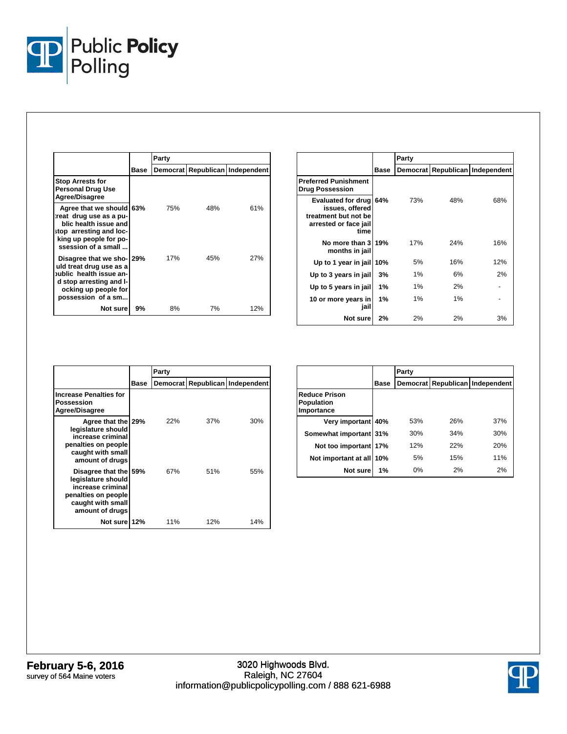

|                                                                                                                                                          |      | Party |     |                                 |
|----------------------------------------------------------------------------------------------------------------------------------------------------------|------|-------|-----|---------------------------------|
|                                                                                                                                                          | Base |       |     | Democrat Republican Independent |
| <b>Stop Arrests for</b><br><b>Personal Drug Use</b><br>Agree/Disagree                                                                                    |      |       |     |                                 |
| Agree that we should<br>reat drug use as a pu-<br>blic health issue and<br>stop arresting and loc-<br>king up people for po-<br>ssession of a small      | 63%  | 75%   | 48% | 61%                             |
| Disagree that we sho-129%<br>uld treat drug use as a<br>oublic health issue an-<br>d stop arresting and I-<br>ocking up people for<br>possession of a sm |      | 17%   | 45% | 27%                             |
| Not sure l                                                                                                                                               | 9%   | 8%    | 7%  | 12%                             |

|                                                                                                |      | Party    |     |                          |
|------------------------------------------------------------------------------------------------|------|----------|-----|--------------------------|
|                                                                                                | Base | Democrat |     | Republican   Independent |
| <b>Preferred Punishment</b><br><b>Drug Possession</b>                                          |      |          |     |                          |
| Evaluated for drug<br>issues, offered<br>treatment but not be<br>arrested or face jail<br>time | 64%  | 73%      | 48% | 68%                      |
| No more than 3<br>months in jail                                                               | 19%  | 17%      | 24% | 16%                      |
| Up to 1 year in jail                                                                           | 10%  | 5%       | 16% | 12%                      |
| Up to 3 years in jail                                                                          | 3%   | 1%       | 6%  | 2%                       |
| Up to 5 years in jail                                                                          | 1%   | 1%       | 2%  |                          |
| 10 or more years in<br>jail                                                                    | 1%   | 1%       | 1%  |                          |
| Not sure                                                                                       | 2%   | 2%       | 2%  | 3%                       |

|                                                                                                                              |      | Party |     |                                 |
|------------------------------------------------------------------------------------------------------------------------------|------|-------|-----|---------------------------------|
|                                                                                                                              | Base |       |     | Democrat Republican Independent |
| <b>Increase Penalties for</b><br>Possession<br><b>Agree/Disagree</b>                                                         |      |       |     |                                 |
| Agree that the 29%<br>legislature should<br>increase criminal<br>penalties on people<br>caught with small<br>amount of drugs |      | 22%   | 37% | 30%                             |
| Disagree that the<br>legislature should<br>increase criminal<br>penalties on people<br>caught with small<br>amount of drugs  | 59%  | 67%   | 51% | 55%                             |
| Not sure 12%                                                                                                                 |      | 11%   | 12% | 14%                             |

|                                                         |      | Party |     |                                 |
|---------------------------------------------------------|------|-------|-----|---------------------------------|
|                                                         | Base |       |     | Democrat Republican Independent |
| <b>Reduce Prison</b><br><b>Population</b><br>Importance |      |       |     |                                 |
| Very important 40%                                      |      | 53%   | 26% | 37%                             |
| Somewhat important 31%                                  |      | 30%   | 34% | 30%                             |
| Not too important 17%                                   |      | 12%   | 22% | 20%                             |
| Not important at all 10%                                |      | 5%    | 15% | 11%                             |
| Not sure                                                | 1%   | 0%    | 2%  | 2%                              |

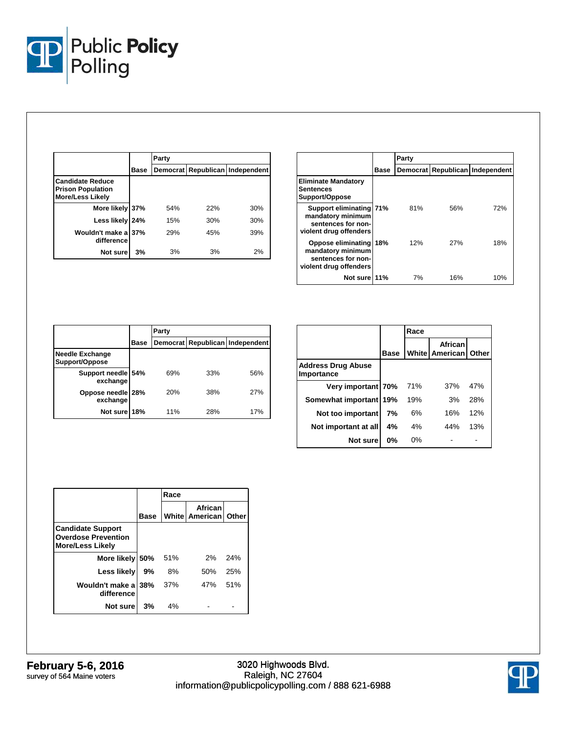

|                                                                                |             | Party |     |                                 |
|--------------------------------------------------------------------------------|-------------|-------|-----|---------------------------------|
|                                                                                | <b>Base</b> |       |     | Democrat Republican Independent |
| <b>Candidate Reduce</b><br><b>Prison Population</b><br><b>More/Less Likely</b> |             |       |     |                                 |
| More likely 37%                                                                |             | 54%   | 22% | 30%                             |
| Less likely                                                                    | 24%         | 15%   | 30% | 30%                             |
| Wouldn't make a<br>difference                                                  | 37%         | 29%   | 45% | 39%                             |
| Not sure                                                                       | 3%          | 3%    | 3%  | 2%                              |

|                                                                                              |      | Party           |     |                          |
|----------------------------------------------------------------------------------------------|------|-----------------|-----|--------------------------|
|                                                                                              | Base | <b>Democrat</b> |     | Republican   Independent |
| <b>Eliminate Mandatory</b><br>Sentences<br>Support/Oppose                                    |      |                 |     |                          |
| Support eliminating 71%<br>mandatory minimum<br>sentences for non-<br>violent drug offenders |      | 81%             | 56% | 72%                      |
| Oppose eliminating 18%<br>mandatory minimum<br>sentences for non-<br>violent drug offenders  |      | 12%             | 27% | 18%                      |
| Not sure 11%                                                                                 |      | 7%              | 16% | 10%                      |

|                                          |             | Party |     |                                 |  |  |
|------------------------------------------|-------------|-------|-----|---------------------------------|--|--|
|                                          | <b>Base</b> |       |     | Democrat Republican Independent |  |  |
| <b>Needle Exchange</b><br>Support/Oppose |             |       |     |                                 |  |  |
| Support needle 54%<br>exchange           |             | 69%   | 33% | 56%                             |  |  |
| Oppose needle<br>exchange                | 28%         | 20%   | 38% | 27%                             |  |  |
| Not sure                                 | 18%         | 11%   | 28% | 17%                             |  |  |

|                                         |             | Race |                                          |     |
|-----------------------------------------|-------------|------|------------------------------------------|-----|
|                                         | <b>Base</b> |      | African<br><b>White American   Other</b> |     |
| <b>Address Drug Abuse</b><br>Importance |             |      |                                          |     |
| Very important 70%                      |             | 71%  | 37%                                      | 47% |
| Somewhat important                      | 19%         | 19%  | 3%                                       | 28% |
| Not too important                       | 7%          | 6%   | 16%                                      | 12% |
| Not important at all                    | 4%          | 4%   | 44%                                      | 13% |
| Not sure                                | $0\%$       | 0%   |                                          |     |

|                                                                                   |      | Race |                                          |     |
|-----------------------------------------------------------------------------------|------|------|------------------------------------------|-----|
|                                                                                   | Base |      | African<br><b>White American   Other</b> |     |
| <b>Candidate Support</b><br><b>Overdose Prevention</b><br><b>More/Less Likely</b> |      |      |                                          |     |
| More likely 50%                                                                   |      | 51%  | 2%                                       | 24% |
| Less likely                                                                       | 9%   | 8%   | 50%                                      | 25% |
| Wouldn't make a<br>difference                                                     | 38%  | 37%  | 47%                                      | 51% |
| Not sure                                                                          | 3%   | 4%   |                                          |     |

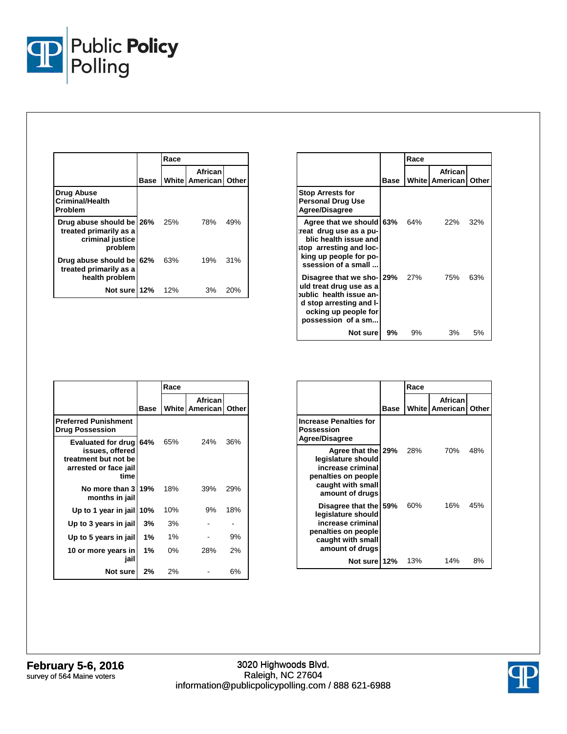

|                                                                                   |      | Race |                                     |     |
|-----------------------------------------------------------------------------------|------|------|-------------------------------------|-----|
|                                                                                   | Base |      | African<br>White   American   Other |     |
| <b>Drug Abuse</b><br><b>Criminal/Health</b><br>Problem                            |      |      |                                     |     |
| Drug abuse should be 26%<br>treated primarily as a<br>criminal justice<br>problem |      | 25%  | 78%                                 | 49% |
| Drug abuse should be 62%<br>treated primarily as a<br>health problem              |      | 63%  | 19%                                 | 31% |
| Not sure 12%                                                                      |      | 12%  | 3%                                  | 20% |

|                                                                                                                                                          |      | Race |                                      |       |
|----------------------------------------------------------------------------------------------------------------------------------------------------------|------|------|--------------------------------------|-------|
|                                                                                                                                                          | Base |      | African<br><b>White   American  </b> | Other |
| <b>Stop Arrests for</b><br><b>Personal Drug Use</b><br>Agree/Disagree                                                                                    |      |      |                                      |       |
| Agree that we should 63%<br>reat drug use as a pu-<br>blic health issue and<br>stop arresting and loc-<br>king up people for po-<br>ssession of a small  |      | 64%  | 22%                                  | 32%   |
| Disagree that we sho- 29%<br>uld treat drug use as a<br>oublic health issue an-<br>d stop arresting and I-<br>ocking up people for<br>possession of a sm |      | 27%  | 75%                                  | 63%   |
| Not sure                                                                                                                                                 | 9%   | 9%   | 3%                                   | 5%    |

|                                                                                                |      | Race  |                                  |       |
|------------------------------------------------------------------------------------------------|------|-------|----------------------------------|-------|
|                                                                                                | Base |       | African<br><b>White American</b> | Other |
| <b>Preferred Punishment</b><br><b>Drug Possession</b>                                          |      |       |                                  |       |
| Evaluated for drug<br>issues, offered<br>treatment but not be<br>arrested or face jail<br>time | 64%  | 65%   | 24%                              | 36%   |
| No more than 3 19%<br>months in jail                                                           |      | 18%   | 39%                              | 29%   |
| Up to 1 year in jail                                                                           | 10%  | 10%   | 9%                               | 18%   |
| Up to 3 years in jail                                                                          | 3%   | 3%    |                                  |       |
| Up to 5 years in jail                                                                          | 1%   | 1%    |                                  | 9%    |
| 10 or more years in<br>jail                                                                    | 1%   | $0\%$ | 28%                              | 2%    |
| <b>Not sure</b>                                                                                | 2%   | 2%    |                                  | 6%    |

|                                                                                                                                 |      | Race |                             |       |
|---------------------------------------------------------------------------------------------------------------------------------|------|------|-----------------------------|-------|
|                                                                                                                                 | Base |      | African<br>White   American | Other |
| <b>Increase Penalties for</b><br>Possession<br>Agree/Disagree                                                                   |      |      |                             |       |
| Agree that the 29%<br>legislature should<br>increase criminal<br>penalties on people<br>caught with small<br>amount of drugs    |      | 28%  | 70%                         | 48%   |
| Disagree that the 59%<br>legislature should<br>increase criminal<br>penalties on people<br>caught with small<br>amount of drugs |      | 60%  | 16%                         | 45%   |
| Not sure 12%                                                                                                                    |      | 13%  | 14%                         | 8%    |

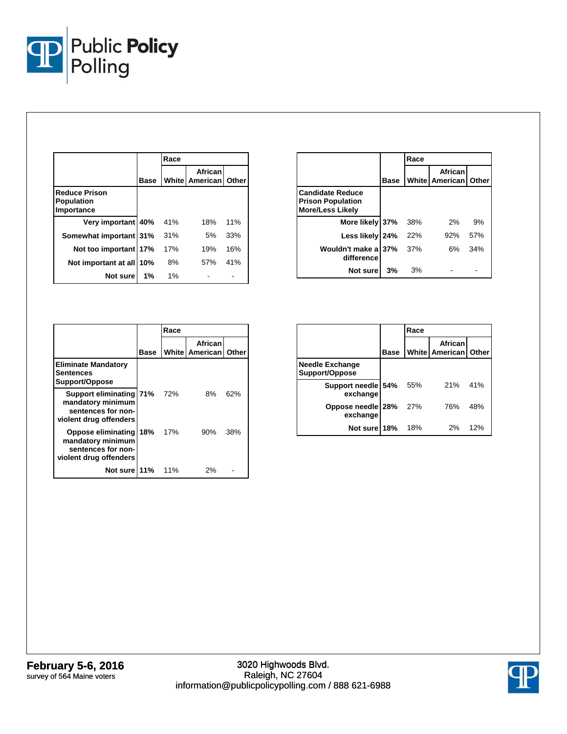

|                                                         |      | Race  |                                            |     |
|---------------------------------------------------------|------|-------|--------------------------------------------|-----|
|                                                         | Base |       | African<br><b>White   American   Other</b> |     |
| <b>Reduce Prison</b><br><b>Population</b><br>Importance |      |       |                                            |     |
| Very important 40%                                      |      | 41%   | 18%                                        | 11% |
| Somewhat important 31%                                  |      | 31%   | 5%                                         | 33% |
| Not too important 17%                                   |      | 17%   | 19%                                        | 16% |
| Not important at all                                    | 10%  | 8%    | 57%                                        | 41% |
| Not sure                                                | 1%   | $1\%$ |                                            |     |

|                                                                                |             | Race |                                        |     |
|--------------------------------------------------------------------------------|-------------|------|----------------------------------------|-----|
|                                                                                | <b>Base</b> |      | African<br><b>White American Other</b> |     |
| <b>Candidate Reduce</b><br><b>Prison Population</b><br><b>More/Less Likely</b> |             |      |                                        |     |
| More likely 37%                                                                |             | 38%  | 2%                                     | 9%  |
| Less likely 24%                                                                |             | 22%  | 92%                                    | 57% |
| Wouldn't make a 37%<br>difference                                              |             | 37%  | 6%                                     | 34% |
| Not sure                                                                       | 3%          | 3%   |                                        |     |

|                                                                                                |      | Race |                             |              |
|------------------------------------------------------------------------------------------------|------|------|-----------------------------|--------------|
|                                                                                                | Base |      | African<br>White   American | <b>Other</b> |
| <b>Eliminate Mandatory</b><br>Sentences<br>Support/Oppose                                      |      |      |                             |              |
| Support eliminating 71%<br>mandatory minimum<br>sentences for non-<br>violent drug offenders   |      | 72%  | 8%                          | 62%          |
| <b>Oppose eliminating</b><br>mandatory minimum<br>sentences for non-<br>violent drug offenders | 18%  | 17%  | 90%                         | 38%          |
| Not sure 11%                                                                                   |      | 11%  | 2%                          |              |

|                                          |             | Race |                           |       |
|------------------------------------------|-------------|------|---------------------------|-------|
|                                          | <b>Base</b> |      | African<br>White American | Other |
| <b>Needle Exchange</b><br>Support/Oppose |             |      |                           |       |
| Support needle 54%<br>exchange           |             | 55%  | 21%                       | 41%   |
| Oppose needle<br>exchange                | 28%         | 27%  | 76%                       | 48%   |
| Not sure                                 | 18%         | 18%  | 2%                        | 12%   |

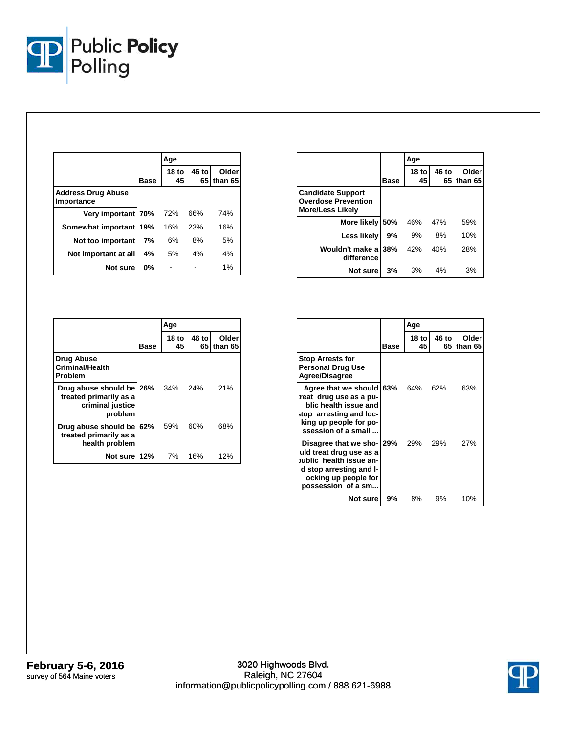

|                                         |             | Age                    |       |                     |
|-----------------------------------------|-------------|------------------------|-------|---------------------|
|                                         | <b>Base</b> | 18 <sub>to</sub><br>45 | 46 to | Older<br>65 than 65 |
| <b>Address Drug Abuse</b><br>Importance |             |                        |       |                     |
| Very important 70%                      |             | 72%                    | 66%   | 74%                 |
| Somewhat important 19%                  |             | 16%                    | 23%   | 16%                 |
| Not too important                       | 7%          | 6%                     | 8%    | 5%                  |
| Not important at all                    | 4%          | 5%                     | 4%    | 4%                  |
| Not sure                                | 0%          |                        |       | 1%                  |

|                                                                                           |      | Age                    |       |                     |
|-------------------------------------------------------------------------------------------|------|------------------------|-------|---------------------|
|                                                                                           | Base | 18 <sub>to</sub><br>45 | 46 to | Older<br>65 than 65 |
| <b>Drug Abuse</b><br><b>Criminal/Health</b><br>Problem                                    |      |                        |       |                     |
| Drug abuse should be 26% 34% 24%<br>treated primarily as a<br>criminal justice<br>problem |      |                        |       | 21%                 |
| Drug abuse should be 62%<br>treated primarily as a<br>health problem                      |      | 59%                    | 60%   | 68%                 |
| Not sure 12%                                                                              |      | 7%                     | 16%   | 12%                 |

|                                                                                   |             | Age                    |       |                       |
|-----------------------------------------------------------------------------------|-------------|------------------------|-------|-----------------------|
|                                                                                   | <b>Base</b> | 18 <sub>to</sub><br>45 | 46 to | Older<br>65 I than 65 |
| <b>Candidate Support</b><br><b>Overdose Prevention</b><br><b>More/Less Likely</b> |             |                        |       |                       |
| More likely                                                                       | 50%         | 46%                    | 47%   | 59%                   |
| Less likely                                                                       | 9%          | 9%                     | 8%    | 10%                   |
| Wouldn't make a<br>difference                                                     | 38%         | 42%                    | 40%   | 28%                   |
| Not sure                                                                          | 3%          | 3%                     | 4%    | 3%                    |

|                                                                                                                                                          |      | Age          |       |                       |
|----------------------------------------------------------------------------------------------------------------------------------------------------------|------|--------------|-------|-----------------------|
|                                                                                                                                                          | Base | 18 tol<br>45 | 46 to | Older<br>65 I than 65 |
| <b>Stop Arrests for</b><br><b>Personal Drug Use</b><br><b>Agree/Disagree</b>                                                                             |      |              |       |                       |
| Agree that we should 63%<br>reat drug use as a pu-<br>blic health issue and<br>stop arresting and loc-<br>king up people for po-<br>ssession of a small  |      | 64% 62%      |       | 63%                   |
| Disagree that we sho- 29%<br>uld treat drug use as a<br>oublic health issue an-<br>d stop arresting and I-<br>ocking up people for<br>possession of a sm |      | 29% 29%      |       | 27%                   |
| Not sure                                                                                                                                                 | 9%   | 8%           | 9%    | 10%                   |

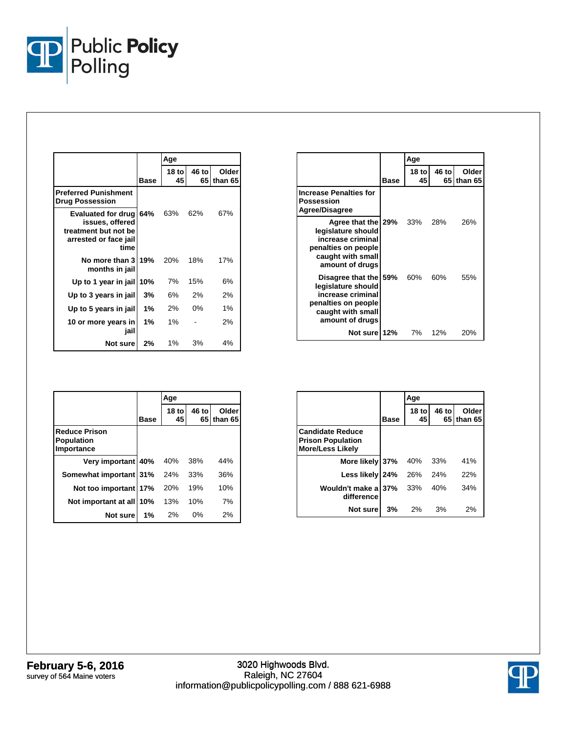

|                                                                                                    |             | Age          |             |                  |
|----------------------------------------------------------------------------------------------------|-------------|--------------|-------------|------------------|
|                                                                                                    | <b>Base</b> | 18 tol<br>45 | 46 to<br>65 | Older<br>than 65 |
| <b>Preferred Punishment</b><br><b>Drug Possession</b>                                              |             |              |             |                  |
| Evaluated for drug 64%<br>issues, offered<br>treatment but not be<br>arrested or face jail<br>time |             | 63%          | 62%         | 67%              |
| No more than 3 19%<br>months in jail                                                               |             | 20%          | 18%         | 17%              |
| Up to 1 year in jail                                                                               | 10%         | 7%           | 15%         | 6%               |
| Up to 3 years in jail                                                                              | 3%          | 6%           | 2%          | 2%               |
| Up to 5 years in jail                                                                              | 1%          | 2%           | $0\%$       | 1%               |
| 10 or more years in<br>jail                                                                        | 1%          | 1%           |             | 2%               |
| Not sure                                                                                           | 2%          | $1\%$        | 3%          | 4%               |

|                                                                                                                                 |      | Age           |             |                   |
|---------------------------------------------------------------------------------------------------------------------------------|------|---------------|-------------|-------------------|
|                                                                                                                                 | Base | $18$ to<br>45 | 46 to<br>65 | Older<br>lthan 65 |
| <b>Increase Penalties for</b><br>Possession<br>Agree/Disagree                                                                   |      |               |             |                   |
| Agree that the 29%<br>legislature should<br>increase criminal<br>penalties on people<br>caught with small<br>amount of drugs    |      | 33%           | 28%         | 26%               |
| Disagree that the 59%<br>legislature should<br>increase criminal<br>penalties on people<br>caught with small<br>amount of drugs |      | 60%           | 60%         | 55%               |
| Not sure  12%                                                                                                                   |      | 7%            | 12%         | 20%               |

|                                                         |       | Age                    |       |                     |
|---------------------------------------------------------|-------|------------------------|-------|---------------------|
|                                                         | Base  | 18 <sub>to</sub><br>45 | 46 to | Older<br>65 than 65 |
| <b>Reduce Prison</b><br><b>Population</b><br>Importance |       |                        |       |                     |
| Very important 40%                                      |       | 40%                    | 38%   | 44%                 |
| Somewhat important 31%                                  |       | 24%                    | 33%   | 36%                 |
| Not too important 17%                                   |       | 20%                    | 19%   | 10%                 |
| Not important at all                                    | 10%   | 13%                    | 10%   | 7%                  |
| Not sure                                                | $1\%$ | 2%                     | $0\%$ | 2%                  |

|                                                                                |      | Age                    |       |                              |
|--------------------------------------------------------------------------------|------|------------------------|-------|------------------------------|
|                                                                                | Base | 18 <sub>to</sub><br>45 | 46 to | <b>Older</b><br>65 I than 65 |
| <b>Candidate Reduce</b><br><b>Prison Population</b><br><b>More/Less Likely</b> |      |                        |       |                              |
| More likely 37%                                                                |      | 40%                    | 33%   | 41%                          |
| Less likely 24%                                                                |      | 26%                    | 24%   | 22%                          |
| Wouldn't make a 37%<br>difference                                              |      | 33%                    | 40%   | 34%                          |
| Not sure                                                                       | 3%   | 2%                     | 3%    | 2%                           |